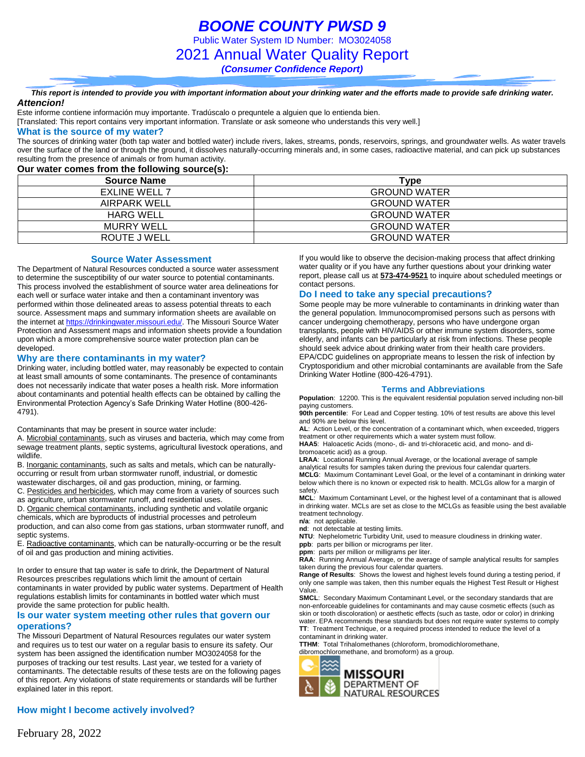*BOONE COUNTY PWSD 9* Public Water System ID Number: MO3024058 2021 Annual Water Quality Report *(Consumer Confidence Report)*

*This report is intended to provide you with important information about your drinking water and the efforts made to provide safe drinking water. Attencion!*

Este informe contiene información muy importante. Tradúscalo o prequntele a alguien que lo entienda bien.

[Translated: This report contains very important information. Translate or ask someone who understands this very well.]

#### **What is the source of my water?**

The sources of drinking water (both tap water and bottled water) include rivers, lakes, streams, ponds, reservoirs, springs, and groundwater wells. As water travels over the surface of the land or through the ground, it dissolves naturally-occurring minerals and, in some cases, radioactive material, and can pick up substances resulting from the presence of animals or from human activity.

### **Our water comes from the following source(s):**

| <b>Source Name</b>   | Type                |
|----------------------|---------------------|
| <b>EXLINE WELL 7</b> | <b>GROUND WATER</b> |
| AIRPARK WELL         | <b>GROUND WATER</b> |
| <b>HARG WELL</b>     | <b>GROUND WATER</b> |
| MURRY WELL           | <b>GROUND WATER</b> |
| ROUTE J WELL         | <b>GROUND WATER</b> |

#### **Source Water Assessment**

The Department of Natural Resources conducted a source water assessment to determine the susceptibility of our water source to potential contaminants. This process involved the establishment of source water area delineations for each well or surface water intake and then a contaminant inventory was performed within those delineated areas to assess potential threats to each source. Assessment maps and summary information sheets are available on the internet a[t https://drinkingwater.missouri.edu/.](https://drinkingwater.missouri.edu/) The Missouri Source Water Protection and Assessment maps and information sheets provide a foundation upon which a more comprehensive source water protection plan can be developed.

#### **Why are there contaminants in my water?**

Drinking water, including bottled water, may reasonably be expected to contain at least small amounts of some contaminants. The presence of contaminants does not necessarily indicate that water poses a health risk. More information about contaminants and potential health effects can be obtained by calling the Environmental Protection Agency's Safe Drinking Water Hotline (800-426- 4791).

Contaminants that may be present in source water include:

A. Microbial contaminants, such as viruses and bacteria, which may come from sewage treatment plants, septic systems, agricultural livestock operations, and wildlife.

B. Inorganic contaminants, such as salts and metals, which can be naturallyoccurring or result from urban stormwater runoff, industrial, or domestic wastewater discharges, oil and gas production, mining, or farming.

C. Pesticides and herbicides, which may come from a variety of sources such as agriculture, urban stormwater runoff, and residential uses.

D. Organic chemical contaminants, including synthetic and volatile organic chemicals, which are byproducts of industrial processes and petroleum production, and can also come from gas stations, urban stormwater runoff, and septic systems.

E. Radioactive contaminants, which can be naturally-occurring or be the result of oil and gas production and mining activities.

In order to ensure that tap water is safe to drink, the Department of Natural Resources prescribes regulations which limit the amount of certain contaminants in water provided by public water systems. Department of Health regulations establish limits for contaminants in bottled water which must provide the same protection for public health.

#### **Is our water system meeting other rules that govern our operations?**

The Missouri Department of Natural Resources regulates our water system and requires us to test our water on a regular basis to ensure its safety. Our system has been assigned the identification number MO3024058 for the purposes of tracking our test results. Last year, we tested for a variety of contaminants. The detectable results of these tests are on the following pages of this report. Any violations of state requirements or standards will be further explained later in this report.

### **How might I become actively involved?**

If you would like to observe the decision-making process that affect drinking water quality or if you have any further questions about your drinking water report, please call us at **573-474-9521** to inquire about scheduled meetings or contact persons.

### **Do I need to take any special precautions?**

Some people may be more vulnerable to contaminants in drinking water than the general population. Immunocompromised persons such as persons with cancer undergoing chemotherapy, persons who have undergone organ transplants, people with HIV/AIDS or other immune system disorders, some elderly, and infants can be particularly at risk from infections. These people should seek advice about drinking water from their health care providers. EPA/CDC guidelines on appropriate means to lessen the risk of infection by Cryptosporidium and other microbial contaminants are available from the Safe Drinking Water Hotline (800-426-4791).

#### **Terms and Abbreviations**

**Population**: 12200. This is the equivalent residential population served including non-bill paying customers.

**90th percentile**: For Lead and Copper testing. 10% of test results are above this level and 90% are below this level.

**AL**: Action Level, or the concentration of a contaminant which, when exceeded, triggers treatment or other requirements which a water system must follow.

**HAA5**: Haloacetic Acids (mono-, di- and tri-chloracetic acid, and mono- and dibromoacetic acid) as a group.

**LRAA**: Locational Running Annual Average, or the locational average of sample analytical results for samples taken during the previous four calendar quarters. **MCLG**: Maximum Contaminant Level Goal, or the level of a contaminant in drinking water

below which there is no known or expected risk to health. MCLGs allow for a margin of safety. **MCL**: Maximum Contaminant Level, or the highest level of a contaminant that is allowed

in drinking water. MCLs are set as close to the MCLGs as feasible using the best available treatment technology.

**n/a**: not applicable.

**nd**: not detectable at testing limits.

**NTU**: Nephelometric Turbidity Unit, used to measure cloudiness in drinking water. **ppb**: parts per billion or micrograms per liter.

**ppm**: parts per million or milligrams per liter.

**RAA**: Running Annual Average, or the average of sample analytical results for samples

taken during the previous four calendar quarters.

**Range of Results**: Shows the lowest and highest levels found during a testing period, if only one sample was taken, then this number equals the Highest Test Result or Highest Value.

**SMCL**: Secondary Maximum Contaminant Level, or the secondary standards that are non-enforceable guidelines for contaminants and may cause cosmetic effects (such as skin or tooth discoloration) or aesthetic effects (such as taste, odor or color) in drinking water. EPA recommends these standards but does not require water systems to comply **TT**: Treatment Technique, or a required process intended to reduce the level of a contaminant in drinking water.

**TTHM**: Total Trihalomethanes (chloroform, bromodichloromethane, dibromochloromethane, and bromoform) as a group.

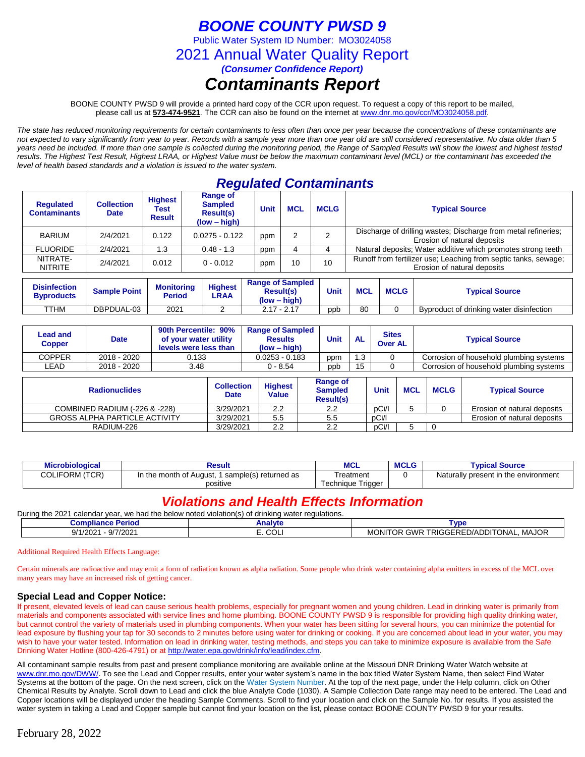# *BOONE COUNTY PWSD 9*

Public Water System ID Number: MO3024058

2021 Annual Water Quality Report

*(Consumer Confidence Report)*

# *Contaminants Report*

BOONE COUNTY PWSD 9 will provide a printed hard copy of the CCR upon request. To request a copy of this report to be mailed, please call us at **573-474-9521***.* The CCR can also be found on the internet at www.dnr.mo.gov/ccr/MO3024058.pdf.

*The state has reduced monitoring requirements for certain contaminants to less often than once per year because the concentrations of these contaminants are not expected to vary significantly from year to year. Records with a sample year more than one year old are still considered representative. No data older than 5 years need be included. If more than one sample is collected during the monitoring period, the Range of Sampled Results will show the lowest and highest tested results. The Highest Test Result, Highest LRAA, or Highest Value must be below the maximum contaminant level (MCL) or the contaminant has exceeded the level of health based standards and a violation is issued to the water system.* 

# *Regulated Contaminants*

| <b>Regulated</b><br><b>Contaminants</b> | <b>Collection</b><br><b>Date</b> | <b>Highest</b><br>Test<br><b>Result</b> | <b>Range of</b><br><b>Sampled</b><br>Result(s)<br>$(low - high)$ | <b>Unit</b> | <b>MCL</b> | <b>MCLG</b> | <b>Typical Source</b>                                                                          |
|-----------------------------------------|----------------------------------|-----------------------------------------|------------------------------------------------------------------|-------------|------------|-------------|------------------------------------------------------------------------------------------------|
| BARIUM                                  | 2/4/2021                         | 0.122                                   | $0.0275 - 0.122$                                                 | ppm         |            |             | Discharge of drilling wastes; Discharge from metal refineries;<br>Erosion of natural deposits  |
| <b>FLUORIDE</b>                         | 2/4/2021                         | I.3                                     | $0.48 - 1.3$                                                     | ppm         |            |             | Natural deposits; Water additive which promotes strong teeth                                   |
| NITRATE-<br><b>NITRITE</b>              | 2/4/2021                         | 0.012                                   | $0 - 0.012$                                                      | ppm         | 10         | 10          | Runoff from fertilizer use; Leaching from septic tanks, sewage;<br>Erosion of natural deposits |

| <b>Disinfection</b><br><b>B</b> vproducts | <b>Sample Point</b> | <b>Monitoring</b><br>Period | <b>Highest</b><br>LRAA | <b>Range of Sampled</b><br><b>Result(s)</b><br>(low – high) | Unit | <b>MCL</b> | <b>MCLG</b> | <b>Typical Source</b>                    |
|-------------------------------------------|---------------------|-----------------------------|------------------------|-------------------------------------------------------------|------|------------|-------------|------------------------------------------|
| <b>TTHM</b>                               | DBPDUAL-03          | 2021                        |                        | 2.17 - 2.17                                                 | ppb  | 80         |             | Byproduct of drinking water disinfection |

| Lead and<br>Copper | <b>Date</b> | 90th Percentile: 90%<br>of your water utility<br>levels were less than | <b>Range of Sampled</b><br><b>Results</b><br>$(low - high)$ | Unit | <b>AL</b> | <b>Sites</b><br><b>Over AL</b> | <b>Typical Source</b>                   |
|--------------------|-------------|------------------------------------------------------------------------|-------------------------------------------------------------|------|-----------|--------------------------------|-----------------------------------------|
| COPPER             | 2018 - 2020 | 0.133                                                                  | $0.0253 - 0.183$                                            | ppm  | 1.3       |                                | Corrosion of household plumbing systems |
| LEAD               | 2018 - 2020 | 3.48                                                                   | 0 - 8.54                                                    | ppb  | 15        |                                | Corrosion of household plumbing systems |

| <b>Radionuclides</b>                 | <b>Collection</b><br><b>Date</b> | <b>Highest</b><br>Value | Range of<br><b>Sampled</b><br><b>Result(s)</b> | Unit  | <b>MCL</b> | <b>MCLG</b> | <b>Typical Source</b>       |
|--------------------------------------|----------------------------------|-------------------------|------------------------------------------------|-------|------------|-------------|-----------------------------|
| COMBINED RADIUM (-226 & -228)        | 3/29/2021                        | 2.2                     | 2.2                                            | pCi/l |            |             | Erosion of natural deposits |
| <b>GROSS ALPHA PARTICLE ACTIVITY</b> | 3/29/2021                        | 5.5                     | 5.5                                            | pCi/l |            |             | Erosion of natural deposits |
| RADIUM-226                           | 3/29/2021                        | 2.2                     | 2.2                                            | pCi/l |            |             |                             |

| <b>Microbiological</b> | Result                                             | <b>MCL</b>           | <b>MCLG</b> | <b>Typical Source</b>                |
|------------------------|----------------------------------------------------|----------------------|-------------|--------------------------------------|
| <b>COLIFORM (TCR)</b>  | In the month of August,<br>I sample(s) returned as | Гreatment            |             | Naturally present in the environment |
|                        | positive                                           | Trigger<br>Techniaue |             |                                      |

# *Violations and Health Effects Information*

During the 2021 calendar year, we had the below noted violation(s) of drinking water regulations.

| Compilar<br>'erioc<br>                    | anarv <sub>"</sub> | <b>VD</b>                                                                                                                                    |
|-------------------------------------------|--------------------|----------------------------------------------------------------------------------------------------------------------------------------------|
| 7/2021<br>. .<br>200<br>.14<br>1/202<br>w | $\sim$<br>◡        | 10 <sup>2</sup><br>.<br>- -<br>)NI'<br>.<br>'ONAL<br>וחח<br>∍г<br>. WF<br>. RIGʻ<br>۱۱/Д.<br>MC<br><b>IVIAJUR</b><br>$A + F + F$<br>$\cdots$ |
|                                           |                    |                                                                                                                                              |

Additional Required Health Effects Language:

Certain minerals are radioactive and may emit a form of radiation known as alpha radiation. Some people who drink water containing alpha emitters in excess of the MCL over many years may have an increased risk of getting cancer.

### **Special Lead and Copper Notice:**

If present, elevated levels of lead can cause serious health problems, especially for pregnant women and young children. Lead in drinking water is primarily from materials and components associated with service lines and home plumbing. BOONE COUNTY PWSD 9 is responsible for providing high quality drinking water, but cannot control the variety of materials used in plumbing components. When your water has been sitting for several hours, you can minimize the potential for lead exposure by flushing your tap for 30 seconds to 2 minutes before using water for drinking or cooking. If you are concerned about lead in your water, you may wish to have your water tested. Information on lead in drinking water, testing methods, and steps you can take to minimize exposure is available from the Safe Drinking Water Hotline (800-426-4791) or at [http://water.epa.gov/drink/info/lead/index.cfm.](http://water.epa.gov/drink/info/lead/index.cfm)

All contaminant sample results from past and present compliance monitoring are available online at the Missouri DNR Drinking Water Watch website at [www.dnr.mo.gov/DWW/.](http://www.dnr.mo.gov/DWW/) To see the Lead and Copper results, enter your water system's name in the box titled Water System Name, then select Find Water Systems at the bottom of the page. On the next screen, click on the Water System Number. At the top of the next page, under the Help column, click on Other Chemical Results by Analyte. Scroll down to Lead and click the blue Analyte Code (1030). A Sample Collection Date range may need to be entered. The Lead and Copper locations will be displayed under the heading Sample Comments. Scroll to find your location and click on the Sample No. for results. If you assisted the water system in taking a Lead and Copper sample but cannot find your location on the list, please contact BOONE COUNTY PWSD 9 for your results.